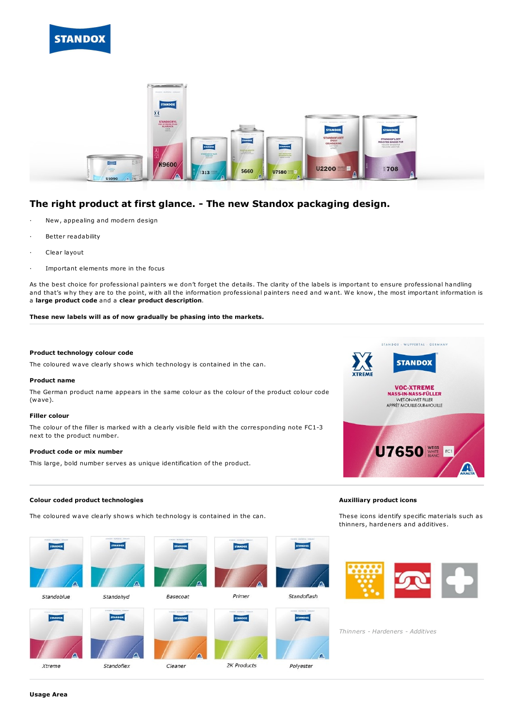



# **The right product at first glance. - The new Standox packaging design.**

- New, appealing and modern design
- Better readability
- Clear layout
- Important elements more in the focus

As the best choice for professional painters we don't forget the details. The clarity of the labels is important to ensure professional handling and that's why they are to the point, with all the information professional painters need and want. We know, the most important information is a **large product code** and a **clear product description**.

**These new labels will as of now gradually be phasing into the markets.**

## **Product technology colour code**

The coloured wave clearly shows which technology is contained in the can.

#### **Product name**

The German product name appears in the same colour as the colour of the product colour code (wave).

#### **Filler colour**

The colour of the filler is marked with a clearly visible field with the corresponding note FC1-3 next to the product number.

### **Product code or mix number**

This large, bold number serves as unique identification of the product.



#### **Colour coded product technologies**

The coloured wave clearly shows which technology is contained in the can.





Standohyd





Cleaner

Primer



2K Products

Standoflash

Polyester



These icons identify specific materials such as thinners, hardeners and additives.



*Thinners - Hardeners - Additives*

**Usage Area**